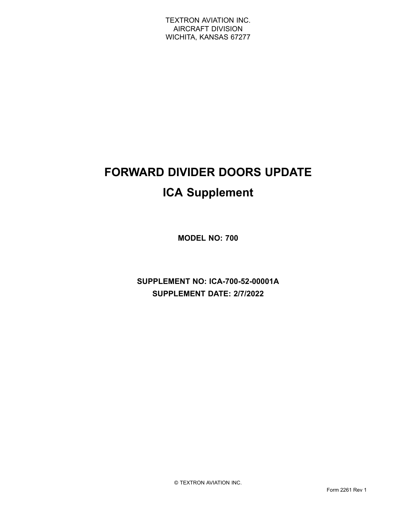# **FORWARD DIVIDER DOORS UPDATE ICA Supplement**

**MODEL NO: 700**

**SUPPLEMENT NO: ICA-700-52-00001A SUPPLEMENT DATE: 2/7/2022**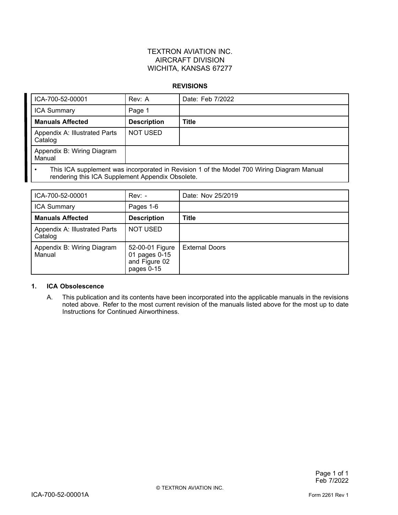#### **REVISIONS**

| ICA-700-52-00001                                                                                                                              | Rev: A             | Date: Feb 7/2022 |
|-----------------------------------------------------------------------------------------------------------------------------------------------|--------------------|------------------|
| <b>ICA Summary</b>                                                                                                                            | Page 1             |                  |
| <b>Manuals Affected</b>                                                                                                                       | <b>Description</b> | <b>Title</b>     |
| Appendix A: Illustrated Parts<br>Catalog                                                                                                      | <b>NOT USED</b>    |                  |
| Appendix B: Wiring Diagram<br>Manual                                                                                                          |                    |                  |
| This ICA supplement was incorporated in Revision 1 of the Model 700 Wiring Diagram Manual<br>rendering this ICA Supplement Appendix Obsolete. |                    |                  |

| ICA-700-52-00001                         | $Rev: -$                                                        | Date: Nov 25/2019     |
|------------------------------------------|-----------------------------------------------------------------|-----------------------|
| <b>ICA Summary</b>                       | Pages 1-6                                                       |                       |
| <b>Manuals Affected</b>                  | <b>Description</b>                                              | <b>Title</b>          |
| Appendix A: Illustrated Parts<br>Catalog | <b>NOT USED</b>                                                 |                       |
| Appendix B: Wiring Diagram<br>Manual     | 52-00-01 Figure<br>01 pages 0-15<br>and Figure 02<br>pages 0-15 | <b>External Doors</b> |

#### **1. ICA Obsolescence**

A. This publication and its contents have been incorporated into the applicable manuals in the revisions noted above. Refer to the most current revision of the manuals listed above for the most up to date Instructions for Continued Airworthiness.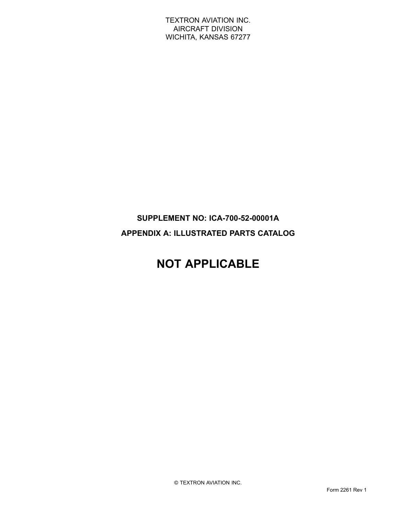## **SUPPLEMENT NO: ICA-700-52-00001A APPENDIX A: ILLUSTRATED PARTS CATALOG**

# **NOT APPLICABLE**